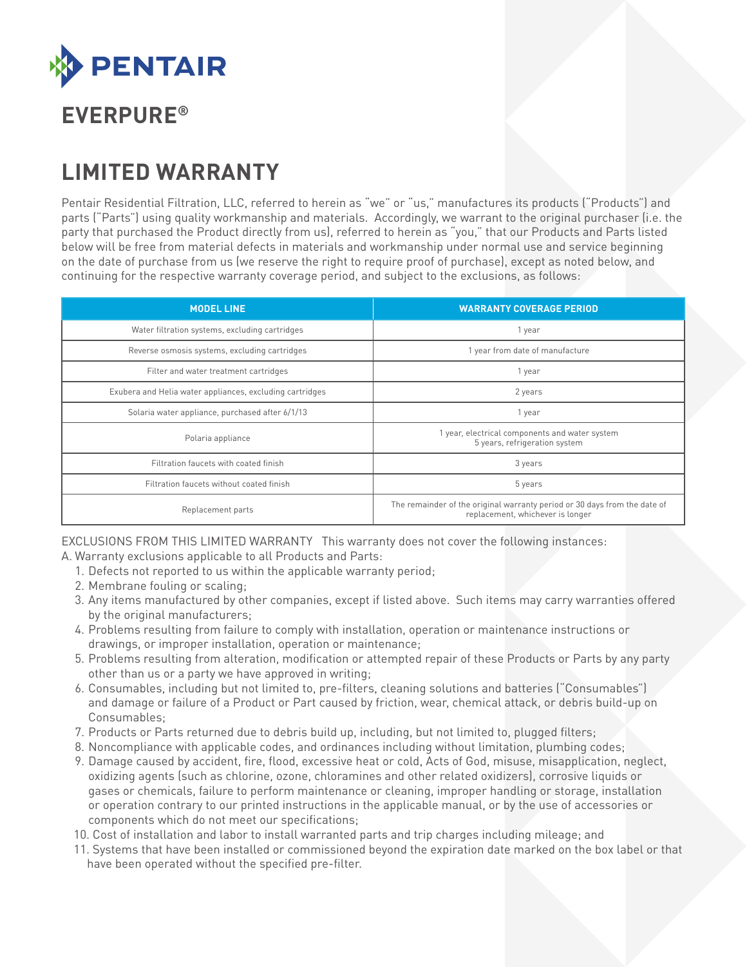

# **EVERPURE®**

# **LIMITED WARRANTY**

Pentair Residential Filtration, LLC, referred to herein as "we" or "us," manufactures its products ("Products") and parts ("Parts") using quality workmanship and materials. Accordingly, we warrant to the original purchaser (i.e. the party that purchased the Product directly from us), referred to herein as "you," that our Products and Parts listed below will be free from material defects in materials and workmanship under normal use and service beginning on the date of purchase from us (we reserve the right to require proof of purchase), except as noted below, and continuing for the respective warranty coverage period, and subject to the exclusions, as follows:

| <b>MODEL LINE</b>                                        | <b>WARRANTY COVERAGE PERIOD</b>                                                                               |
|----------------------------------------------------------|---------------------------------------------------------------------------------------------------------------|
| Water filtration systems, excluding cartridges           | 1 year                                                                                                        |
| Reverse osmosis systems, excluding cartridges            | 1 year from date of manufacture                                                                               |
| Filter and water treatment cartridges                    | 1 year                                                                                                        |
| Exubera and Helia water appliances, excluding cartridges | 2 years                                                                                                       |
| Solaria water appliance, purchased after 6/1/13          | 1 year                                                                                                        |
| Polaria appliance                                        | 1 year, electrical components and water system<br>5 years, refrigeration system                               |
| Filtration faucets with coated finish                    | 3 years                                                                                                       |
| Filtration faucets without coated finish                 | 5 years                                                                                                       |
| Replacement parts                                        | The remainder of the original warranty period or 30 days from the date of<br>replacement, whichever is longer |

EXCLUSIONS FROM THIS LIMITED WARRANTY This warranty does not cover the following instances:

- A. Warranty exclusions applicable to all Products and Parts:
	- 1. Defects not reported to us within the applicable warranty period;
	- 2. Membrane fouling or scaling;
	- 3. Any items manufactured by other companies, except if listed above. Such items may carry warranties offered by the original manufacturers;
	- 4. Problems resulting from failure to comply with installation, operation or maintenance instructions or drawings, or improper installation, operation or maintenance;
	- 5. Problems resulting from alteration, modification or attempted repair of these Products or Parts by any party other than us or a party we have approved in writing;
	- 6. Consumables, including but not limited to, pre-filters, cleaning solutions and batteries ("Consumables") and damage or failure of a Product or Part caused by friction, wear, chemical attack, or debris build-up on Consumables;
	- 7. Products or Parts returned due to debris build up, including, but not limited to, plugged filters;
	- 8. Noncompliance with applicable codes, and ordinances including without limitation, plumbing codes;
	- 9. Damage caused by accident, fire, flood, excessive heat or cold, Acts of God, misuse, misapplication, neglect, oxidizing agents (such as chlorine, ozone, chloramines and other related oxidizers), corrosive liquids or gases or chemicals, failure to perform maintenance or cleaning, improper handling or storage, installation or operation contrary to our printed instructions in the applicable manual, or by the use of accessories or components which do not meet our specifications;
	- 10. Cost of installation and labor to install warranted parts and trip charges including mileage; and
	- 11. Systems that have been installed or commissioned beyond the expiration date marked on the box label or that have been operated without the specified pre-filter.